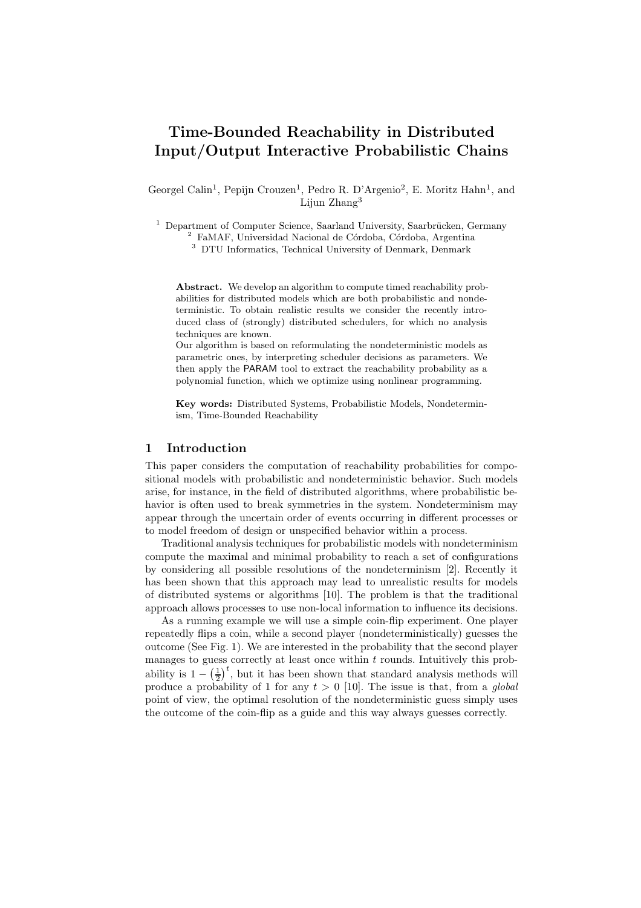# Time-Bounded Reachability in Distributed Input/Output Interactive Probabilistic Chains

Georgel Calin<sup>1</sup>, Pepijn Crouzen<sup>1</sup>, Pedro R. D'Argenio<sup>2</sup>, E. Moritz Hahn<sup>1</sup>, and Lijun Zhang<sup>3</sup>

 $1$  Department of Computer Science, Saarland University, Saarbrücken, Germany

 $2$  FaMAF, Universidad Nacional de Córdoba, Córdoba, Argentina

<sup>3</sup> DTU Informatics, Technical University of Denmark, Denmark

Abstract. We develop an algorithm to compute timed reachability probabilities for distributed models which are both probabilistic and nondeterministic. To obtain realistic results we consider the recently introduced class of (strongly) distributed schedulers, for which no analysis techniques are known.

Our algorithm is based on reformulating the nondeterministic models as parametric ones, by interpreting scheduler decisions as parameters. We then apply the PARAM tool to extract the reachability probability as a polynomial function, which we optimize using nonlinear programming.

Key words: Distributed Systems, Probabilistic Models, Nondeterminism, Time-Bounded Reachability

# 1 Introduction

This paper considers the computation of reachability probabilities for compositional models with probabilistic and nondeterministic behavior. Such models arise, for instance, in the field of distributed algorithms, where probabilistic behavior is often used to break symmetries in the system. Nondeterminism may appear through the uncertain order of events occurring in different processes or to model freedom of design or unspecified behavior within a process.

Traditional analysis techniques for probabilistic models with nondeterminism compute the maximal and minimal probability to reach a set of configurations by considering all possible resolutions of the nondeterminism [2]. Recently it has been shown that this approach may lead to unrealistic results for models of distributed systems or algorithms [10]. The problem is that the traditional approach allows processes to use non-local information to influence its decisions.

As a running example we will use a simple coin-flip experiment. One player repeatedly flips a coin, while a second player (nondeterministically) guesses the outcome (See Fig. 1). We are interested in the probability that the second player manages to guess correctly at least once within  $t$  rounds. Intuitively this probability is  $1 - \left(\frac{1}{2}\right)^t$ , but it has been shown that standard analysis methods will produce a probability of 1 for any  $t > 0$  [10]. The issue is that, from a *global* point of view, the optimal resolution of the nondeterministic guess simply uses the outcome of the coin-flip as a guide and this way always guesses correctly.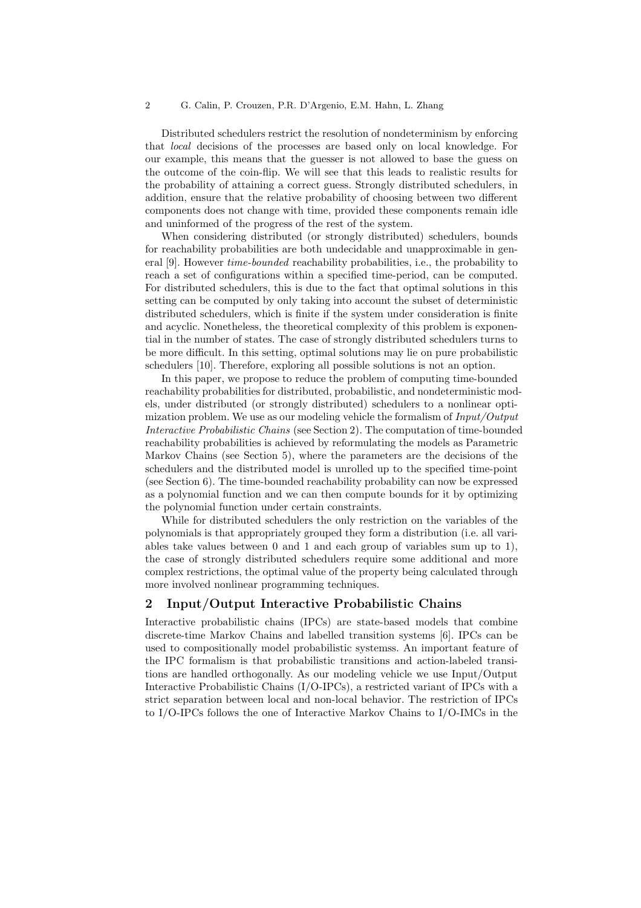Distributed schedulers restrict the resolution of nondeterminism by enforcing that local decisions of the processes are based only on local knowledge. For our example, this means that the guesser is not allowed to base the guess on the outcome of the coin-flip. We will see that this leads to realistic results for the probability of attaining a correct guess. Strongly distributed schedulers, in addition, ensure that the relative probability of choosing between two different components does not change with time, provided these components remain idle and uninformed of the progress of the rest of the system.

When considering distributed (or strongly distributed) schedulers, bounds for reachability probabilities are both undecidable and unapproximable in general [9]. However *time-bounded* reachability probabilities, i.e., the probability to reach a set of configurations within a specified time-period, can be computed. For distributed schedulers, this is due to the fact that optimal solutions in this setting can be computed by only taking into account the subset of deterministic distributed schedulers, which is finite if the system under consideration is finite and acyclic. Nonetheless, the theoretical complexity of this problem is exponential in the number of states. The case of strongly distributed schedulers turns to be more difficult. In this setting, optimal solutions may lie on pure probabilistic schedulers [10]. Therefore, exploring all possible solutions is not an option.

In this paper, we propose to reduce the problem of computing time-bounded reachability probabilities for distributed, probabilistic, and nondeterministic models, under distributed (or strongly distributed) schedulers to a nonlinear optimization problem. We use as our modeling vehicle the formalism of  $Input/Output$ Interactive Probabilistic Chains (see Section 2). The computation of time-bounded reachability probabilities is achieved by reformulating the models as Parametric Markov Chains (see Section 5), where the parameters are the decisions of the schedulers and the distributed model is unrolled up to the specified time-point (see Section 6). The time-bounded reachability probability can now be expressed as a polynomial function and we can then compute bounds for it by optimizing the polynomial function under certain constraints.

While for distributed schedulers the only restriction on the variables of the polynomials is that appropriately grouped they form a distribution (i.e. all variables take values between 0 and 1 and each group of variables sum up to 1), the case of strongly distributed schedulers require some additional and more complex restrictions, the optimal value of the property being calculated through more involved nonlinear programming techniques.

### 2 Input/Output Interactive Probabilistic Chains

Interactive probabilistic chains (IPCs) are state-based models that combine discrete-time Markov Chains and labelled transition systems [6]. IPCs can be used to compositionally model probabilistic systemss. An important feature of the IPC formalism is that probabilistic transitions and action-labeled transitions are handled orthogonally. As our modeling vehicle we use Input/Output Interactive Probabilistic Chains (I/O-IPCs), a restricted variant of IPCs with a strict separation between local and non-local behavior. The restriction of IPCs to I/O-IPCs follows the one of Interactive Markov Chains to I/O-IMCs in the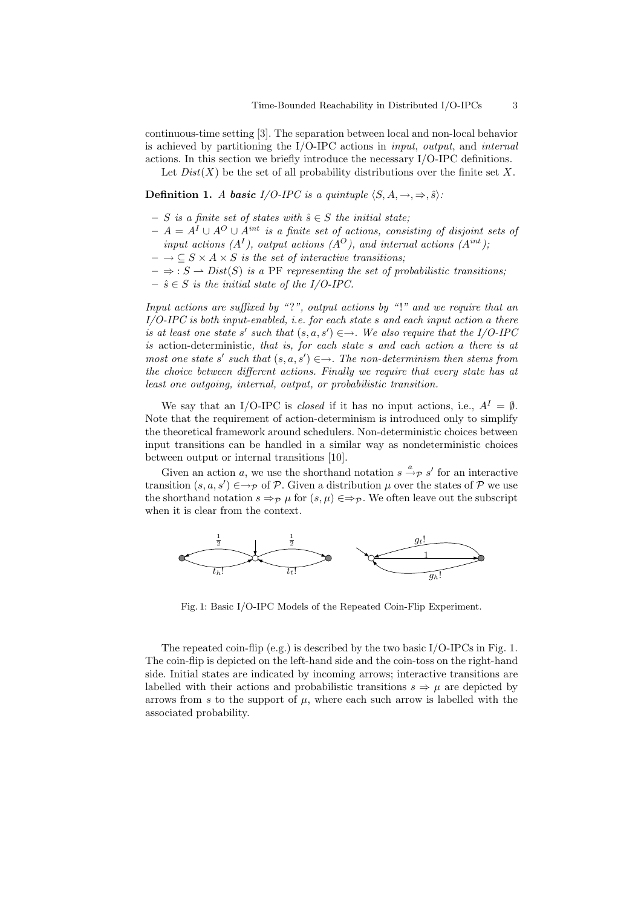continuous-time setting [3]. The separation between local and non-local behavior is achieved by partitioning the  $I/O$ -IPC actions in *input, output,* and *internal* actions. In this section we briefly introduce the necessary I/O-IPC definitions.

Let  $Dist(X)$  be the set of all probability distributions over the finite set X.

Definition 1. A basic I/O-IPC is a quintuple  $\langle S, A, \rightarrow, \Rightarrow, \hat{s} \rangle$ :

- $S$  is a finite set of states with  $\hat{s} \in S$  the initial state;
- $A = A^I ∪ A^O ∪ A^{int}$  is a finite set of actions, consisting of disjoint sets of input actions  $(A<sup>I</sup>)$ , output actions  $(A<sup>O</sup>)$ , and internal actions  $(A<sup>int</sup>)$ ;
- $\rightarrow \subseteq S \times A \times S$  is the set of interactive transitions;
- $-\Rightarrow$ :  $S \rightarrow Dist(S)$  is a PF representing the set of probabilistic transitions;
- $\hat{s} \in S$  is the initial state of the I/O-IPC.

Input actions are suffixed by "?", output actions by "!" and we require that an  $I/O$ -IPC is both input-enabled, i.e. for each state s and each input action a there is at least one state s' such that  $(s, a, s') \in \rightarrow$ . We also require that the I/O-IPC is action-deterministic, that is, for each state s and each action a there is at  $most\ one\ state\ s'\ such\ that\ (s, a, s') \in \rightarrow\ \ The\ non-determinism\ then\ stems\ from$ the choice between different actions. Finally we require that every state has at least one outgoing, internal, output, or probabilistic transition.

We say that an I/O-IPC is *closed* if it has no input actions, i.e.,  $A^I = \emptyset$ . Note that the requirement of action-determinism is introduced only to simplify the theoretical framework around schedulers. Non-deterministic choices between input transitions can be handled in a similar way as nondeterministic choices between output or internal transitions [10].

Given an action a, we use the shorthand notation  $s \stackrel{a}{\rightarrow} p s'$  for an interactive transition  $(s, a, s') \in \rightarrow_{\mathcal{P}}$  of  $\mathcal{P}$ . Given a distribution  $\mu$  over the states of  $\mathcal{P}$  we use the shorthand notation  $s \Rightarrow_{\mathcal{P}} \mu$  for  $(s, \mu) \in \Rightarrow_{\mathcal{P}}$ . We often leave out the subscript when it is clear from the context.



Fig. 1: Basic I/O-IPC Models of the Repeated Coin-Flip Experiment.

The repeated coin-flip (e.g.) is described by the two basic I/O-IPCs in Fig. 1. The coin-flip is depicted on the left-hand side and the coin-toss on the right-hand side. Initial states are indicated by incoming arrows; interactive transitions are labelled with their actions and probabilistic transitions  $s \Rightarrow \mu$  are depicted by arrows from s to the support of  $\mu$ , where each such arrow is labelled with the associated probability.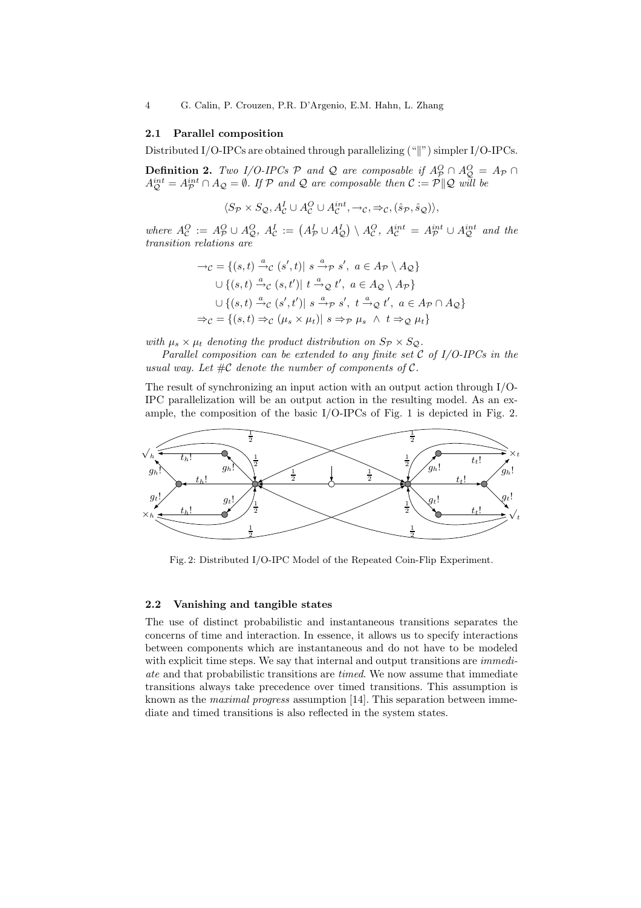#### 2.1 Parallel composition

Distributed I/O-IPCs are obtained through parallelizing  $(\text{``}||\text{''})$  simpler I/O-IPCs.

**Definition 2.** Two I/O-IPCs  $\mathcal{P}$  and  $\mathcal{Q}$  are composable if  $A_{\mathcal{P}}^O \cap A_{\mathcal{Q}}^O = A_{\mathcal{P}} \cap A_{\mathcal{Q}}^O$  $A_{\mathcal{Q}}^{int} = A_{\mathcal{P}}^{int} \cap A_{\mathcal{Q}} = \emptyset$ . If  $\mathcal{P}$  and  $\mathcal{Q}$  are composable then  $\mathcal{C} := \mathcal{P} \|\mathcal{Q}$  will be

$$
\langle S_{\mathcal{P}} \times S_{\mathcal{Q}}, A_{\mathcal{C}}^{I} \cup A_{\mathcal{C}}^{O} \cup A_{\mathcal{C}}^{int}, \rightarrow_{\mathcal{C}}, \Rightarrow_{\mathcal{C}}, (\hat{s}_{\mathcal{P}}, \hat{s}_{\mathcal{Q}}) \rangle,
$$

where  $A_{\mathcal{C}}^O := A_{\mathcal{P}}^O \cup A_{\mathcal{Q}}^O$ ,  $A_{\mathcal{C}}^I := (A_{\mathcal{P}}^I \cup A_{\mathcal{Q}}^I) \setminus A_{\mathcal{C}}^O$ ,  $A_{\mathcal{C}}^{int} = A_{\mathcal{P}}^{int} \cup A_{\mathcal{Q}}^{int}$  and the transition relations are

$$
\rightarrow_C = \{(s, t) \stackrel{a}{\rightarrow}_C (s', t) | s \stackrel{a}{\rightarrow}_P s', a \in A_P \setminus A_Q\}
$$
  

$$
\cup \{(s, t) \stackrel{a}{\rightarrow}_C (s, t') | t \stackrel{a}{\rightarrow}_Q t', a \in A_Q \setminus A_P\}
$$
  

$$
\cup \{(s, t) \stackrel{a}{\rightarrow}_C (s', t') | s \stackrel{a}{\rightarrow}_P s', t \stackrel{a}{\rightarrow}_Q t', a \in A_P \cap A_Q\}
$$
  

$$
\Rightarrow_C = \{(s, t) \Rightarrow_C (\mu_s \times \mu_t) | s \Rightarrow_P \mu_s \land t \Rightarrow_Q \mu_t\}
$$

with  $\mu_s \times \mu_t$  denoting the product distribution on  $S_{\mathcal{P}} \times S_{\mathcal{Q}}$ .

Parallel composition can be extended to any finite set  $\mathcal C$  of I/O-IPCs in the usual way. Let  $\#\mathcal{C}$  denote the number of components of  $\mathcal{C}$ .

The result of synchronizing an input action with an output action through I/O-IPC parallelization will be an output action in the resulting model. As an example, the composition of the basic I/O-IPCs of Fig. 1 is depicted in Fig. 2.



Fig. 2: Distributed I/O-IPC Model of the Repeated Coin-Flip Experiment.

#### 2.2 Vanishing and tangible states

The use of distinct probabilistic and instantaneous transitions separates the concerns of time and interaction. In essence, it allows us to specify interactions between components which are instantaneous and do not have to be modeled with explicit time steps. We say that internal and output transitions are *immedi*ate and that probabilistic transitions are timed. We now assume that immediate transitions always take precedence over timed transitions. This assumption is known as the *maximal progress* assumption [14]. This separation between immediate and timed transitions is also reflected in the system states.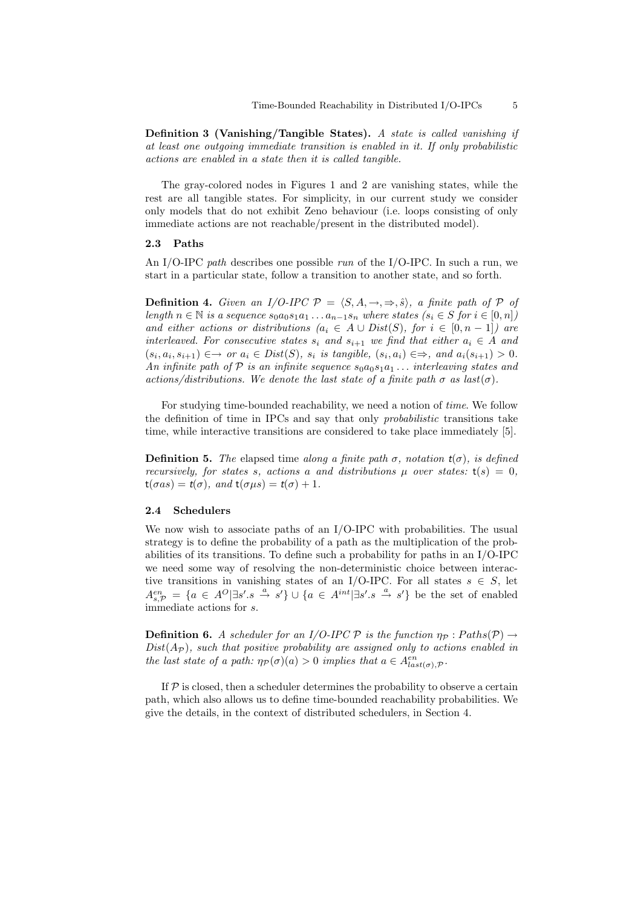Definition 3 (Vanishing/Tangible States). A state is called vanishing if at least one outgoing immediate transition is enabled in it. If only probabilistic actions are enabled in a state then it is called tangible.

The gray-colored nodes in Figures 1 and 2 are vanishing states, while the rest are all tangible states. For simplicity, in our current study we consider only models that do not exhibit Zeno behaviour (i.e. loops consisting of only immediate actions are not reachable/present in the distributed model).

#### 2.3 Paths

An I/O-IPC path describes one possible run of the I/O-IPC. In such a run, we start in a particular state, follow a transition to another state, and so forth.

**Definition 4.** Given an I/O-IPC  $\mathcal{P} = \langle S, A, \rightarrow, \Rightarrow, \hat{s} \rangle$ , a finite path of P of length  $n \in \mathbb{N}$  is a sequence  $s_0a_0s_1a_1 \ldots a_{n-1}s_n$  where states  $(s_i \in S$  for  $i \in [0,n])$ and either actions or distributions  $(a_i \in A \cup Dist(S),$  for  $i \in [0, n-1])$  are interleaved. For consecutive states  $s_i$  and  $s_{i+1}$  we find that either  $a_i \in A$  and  $(s_i, a_i, s_{i+1}) \in \rightarrow or \ a_i \in Dist(S), \ s_i \ \text{is} \ \text{tangle}, \ (s_i, a_i) \in \rightarrow, \ \text{and} \ a_i(s_{i+1}) > 0.$ An infinite path of  $P$  is an infinite sequence  $s_0a_0s_1a_1 \ldots$  interleaving states and actions/distributions. We denote the last state of a finite path  $\sigma$  as last $(\sigma)$ .

For studying time-bounded reachability, we need a notion of time. We follow the definition of time in IPCs and say that only probabilistic transitions take time, while interactive transitions are considered to take place immediately [5].

**Definition 5.** The elapsed time along a finite path  $\sigma$ , notation  $t(\sigma)$ , is defined recursively, for states s, actions a and distributions  $\mu$  over states:  $t(s) = 0$ ,  $t(\sigma as) = t(\sigma)$ , and  $t(\sigma \mu s) = t(\sigma) + 1$ .

#### 2.4 Schedulers

We now wish to associate paths of an I/O-IPC with probabilities. The usual strategy is to define the probability of a path as the multiplication of the probabilities of its transitions. To define such a probability for paths in an I/O-IPC we need some way of resolving the non-deterministic choice between interactive transitions in vanishing states of an I/O-IPC. For all states  $s \in S$ , let  $A^{en}_{s,\mathcal{P}} = \{a \in A^O | \exists s'.s \stackrel{a}{\rightarrow} s'\} \cup \{a \in A^{int} | \exists s'.s \stackrel{a}{\rightarrow} s'\}$  be the set of enabled immediate actions for s.

**Definition 6.** A scheduler for an I/O-IPC P is the function  $\eta_{\mathcal{P}}$ : Paths(P)  $\rightarrow$  $Dist(A_{\mathcal{P}})$ , such that positive probability are assigned only to actions enabled in the last state of a path:  $\eta_{\mathcal{P}}(\sigma)(a) > 0$  implies that  $a \in A^{en}_{last(\sigma), \mathcal{P}}$ .

If  $P$  is closed, then a scheduler determines the probability to observe a certain path, which also allows us to define time-bounded reachability probabilities. We give the details, in the context of distributed schedulers, in Section 4.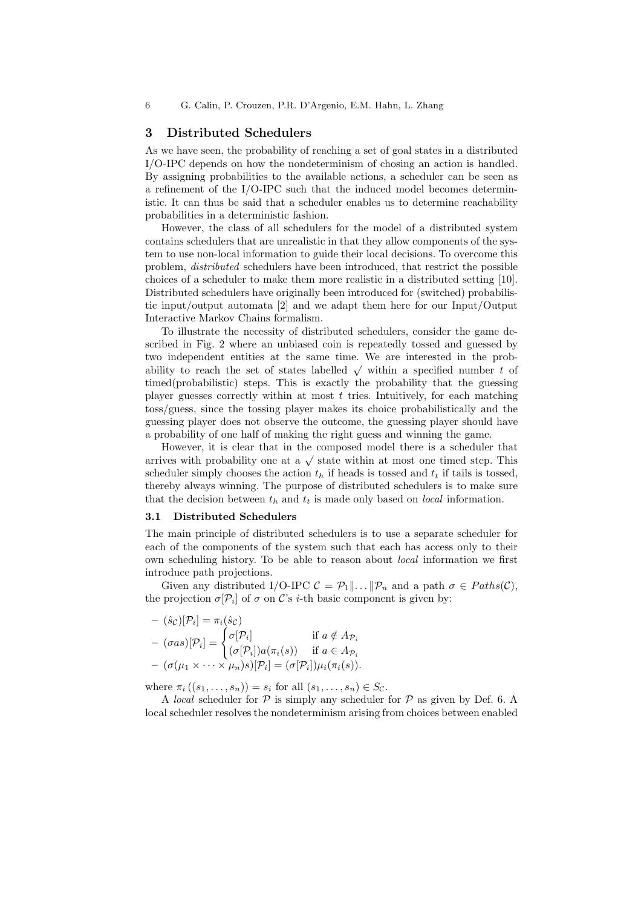6 G. Calin, P. Crouzen, P.R. D'Argenio, E.M. Hahn, L. Zhang

#### 3 Distributed Schedulers

As we have seen, the probability of reaching a set of goal states in a distributed I/O-IPC depends on how the nondeterminism of chosing an action is handled. By assigning probabilities to the available actions, a scheduler can be seen as a refinement of the I/O-IPC such that the induced model becomes deterministic. It can thus be said that a scheduler enables us to determine reachability probabilities in a deterministic fashion.

However, the class of all schedulers for the model of a distributed system contains schedulers that are unrealistic in that they allow components of the system to use non-local information to guide their local decisions. To overcome this problem, distributed schedulers have been introduced, that restrict the possible choices of a scheduler to make them more realistic in a distributed setting [10]. Distributed schedulers have originally been introduced for (switched) probabilistic input/output automata [2] and we adapt them here for our Input/Output Interactive Markov Chains formalism.

To illustrate the necessity of distributed schedulers, consider the game described in Fig. 2 where an unbiased coin is repeatedly tossed and guessed by two independent entities at the same time. We are interested in the probability to reach the set of states labelled  $\sqrt{\ }$  within a specified number t of timed(probabilistic) steps. This is exactly the probability that the guessing player guesses correctly within at most  $t$  tries. Intuitively, for each matching toss/guess, since the tossing player makes its choice probabilistically and the guessing player does not observe the outcome, the guessing player should have a probability of one half of making the right guess and winning the game.

However, it is clear that in the composed model there is a scheduler that arrives with probability one at a  $\sqrt{\ }$  state within at most one timed step. This scheduler simply chooses the action  $t<sub>h</sub>$  if heads is tossed and  $t<sub>t</sub>$  if tails is tossed, thereby always winning. The purpose of distributed schedulers is to make sure that the decision between  $t<sub>h</sub>$  and  $t<sub>t</sub>$  is made only based on *local* information.

#### 3.1 Distributed Schedulers

The main principle of distributed schedulers is to use a separate scheduler for each of the components of the system such that each has access only to their own scheduling history. To be able to reason about local information we first introduce path projections.

Given any distributed I/O-IPC  $C = \mathcal{P}_1 || \dots || \mathcal{P}_n$  and a path  $\sigma \in Paths(C)$ , the projection  $\sigma[\mathcal{P}_i]$  of  $\sigma$  on C's *i*-th basic component is given by:

$$
- (\hat{s}_{\mathcal{C}})[\mathcal{P}_i] = \pi_i(\hat{s}_{\mathcal{C}})
$$
  
\n
$$
- (\sigma as)[\mathcal{P}_i] = \begin{cases} \sigma[\mathcal{P}_i] & \text{if } a \notin A_{\mathcal{P}_i} \\ (\sigma[\mathcal{P}_i])a(\pi_i(s)) & \text{if } a \in A_{\mathcal{P}_i} \\ - (\sigma(\mu_1 \times \cdots \times \mu_n)s)[\mathcal{P}_i] = (\sigma[\mathcal{P}_i])\mu_i(\pi_i(s)). \end{cases}
$$

where  $\pi_i ((s_1, \ldots, s_n)) = s_i$  for all  $(s_1, \ldots, s_n) \in S_{\mathcal{C}}$ .

A *local* scheduler for  $P$  is simply any scheduler for  $P$  as given by Def. 6. A local scheduler resolves the nondeterminism arising from choices between enabled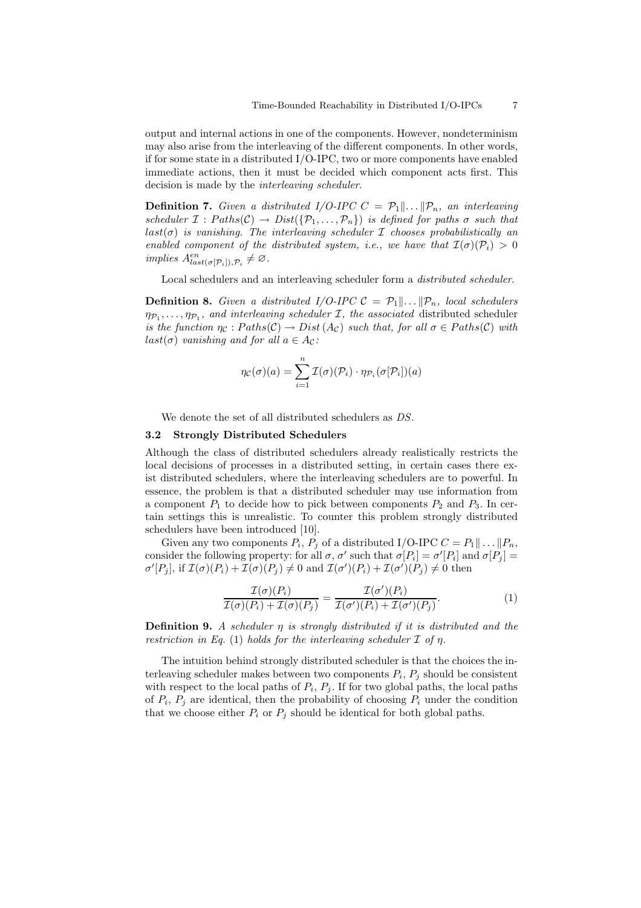output and internal actions in one of the components. However, nondeterminism may also arise from the interleaving of the different components. In other words, if for some state in a distributed I/O-IPC, two or more components have enabled immediate actions, then it must be decided which component acts first. This decision is made by the interleaving scheduler.

**Definition 7.** Given a distributed I/O-IPC  $C = \mathcal{P}_1 || \dots || \mathcal{P}_n$ , an interleaving scheduler  $\mathcal{I}: Paths(\mathcal{C}) \to Dist(\{\mathcal{P}_1,\ldots,\mathcal{P}_n\})$  is defined for paths  $\sigma$  such that  $last(\sigma)$  is vanishing. The interleaving scheduler  $\mathcal I$  chooses probabilistically an enabled component of the distributed system, i.e., we have that  $\mathcal{I}(\sigma)(\mathcal{P}_i) > 0$ implies  $A^{en}_{last(\sigma[\mathcal{P}_i]), \mathcal{P}_i} \neq \emptyset$ .

Local schedulers and an interleaving scheduler form a distributed scheduler.

**Definition 8.** Given a distributed I/O-IPC  $C = \mathcal{P}_1 || \dots || \mathcal{P}_n$ , local schedulers  $\eta_{\mathcal{P}_1}, \ldots, \eta_{\mathcal{P}_1}$ , and interleaving scheduler *I*, the associated distributed scheduler is the function  $\eta_c : Paths(C) \to Dist(A_C)$  such that, for all  $\sigma \in Paths(C)$  with  $last(\sigma)$  vanishing and for all  $a \in A_{\mathcal{C}}$ :

$$
\eta_{\mathcal{C}}(\sigma)(a) = \sum_{i=1}^{n} \mathcal{I}(\sigma)(\mathcal{P}_{i}) \cdot \eta_{\mathcal{P}_{i}}(\sigma[\mathcal{P}_{i}])(a)
$$

We denote the set of all distributed schedulers as DS.

#### 3.2 Strongly Distributed Schedulers

Although the class of distributed schedulers already realistically restricts the local decisions of processes in a distributed setting, in certain cases there exist distributed schedulers, where the interleaving schedulers are to powerful. In essence, the problem is that a distributed scheduler may use information from a component  $P_1$  to decide how to pick between components  $P_2$  and  $P_3$ . In certain settings this is unrealistic. To counter this problem strongly distributed schedulers have been introduced [10].

Given any two components  $P_i$ ,  $P_j$  of a distributed I/O-IPC  $C = P_1 || \dots || P_n$ , consider the following property: for all  $\sigma$ ,  $\sigma'$  such that  $\sigma[P_i] = \sigma'[P_i]$  and  $\sigma[P_j] =$  $\sigma'[P_j]$ , if  $\mathcal{I}(\sigma)(P_i) + \mathcal{I}(\sigma)(P_j) \neq 0$  and  $\mathcal{I}(\sigma')(P_i) + \mathcal{I}(\sigma')(P_j) \neq 0$  then

$$
\frac{\mathcal{I}(\sigma)(P_i)}{\mathcal{I}(\sigma)(P_i) + \mathcal{I}(\sigma)(P_j)} = \frac{\mathcal{I}(\sigma')(P_i)}{\mathcal{I}(\sigma')(P_i) + \mathcal{I}(\sigma')(P_j)}.
$$
(1)

**Definition 9.** A scheduler  $\eta$  is strongly distributed if it is distributed and the restriction in Eq. (1) holds for the interleaving scheduler  $\mathcal I$  of  $\eta$ .

The intuition behind strongly distributed scheduler is that the choices the interleaving scheduler makes between two components  $P_i$ ,  $P_j$  should be consistent with respect to the local paths of  $P_i$ ,  $P_j$ . If for two global paths, the local paths of  $P_i$ ,  $P_j$  are identical, then the probability of choosing  $P_i$  under the condition that we choose either  $P_i$  or  $P_j$  should be identical for both global paths.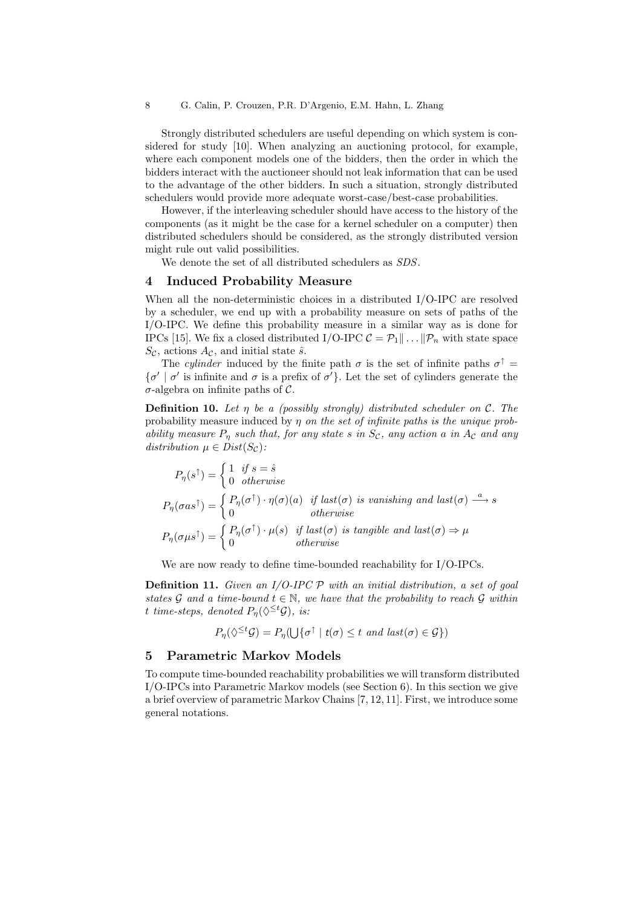Strongly distributed schedulers are useful depending on which system is considered for study [10]. When analyzing an auctioning protocol, for example, where each component models one of the bidders, then the order in which the bidders interact with the auctioneer should not leak information that can be used to the advantage of the other bidders. In such a situation, strongly distributed schedulers would provide more adequate worst-case/best-case probabilities.

However, if the interleaving scheduler should have access to the history of the components (as it might be the case for a kernel scheduler on a computer) then distributed schedulers should be considered, as the strongly distributed version might rule out valid possibilities.

We denote the set of all distributed schedulers as SDS.

### 4 Induced Probability Measure

When all the non-deterministic choices in a distributed I/O-IPC are resolved by a scheduler, we end up with a probability measure on sets of paths of the I/O-IPC. We define this probability measure in a similar way as is done for IPCs [15]. We fix a closed distributed I/O-IPC  $C = \mathcal{P}_1 || \dots || \mathcal{P}_n$  with state space  $S_{\mathcal{C}}$ , actions  $A_{\mathcal{C}}$ , and initial state  $\hat{s}$ .

The cylinder induced by the finite path  $\sigma$  is the set of infinite paths  $\sigma$ <sup> $\uparrow$ </sup> =  $\{\sigma' \mid \sigma' \text{ is infinite and } \sigma \text{ is a prefix of } \sigma'\}.$  Let the set of cylinders generate the  $\sigma$ -algebra on infinite paths of C.

**Definition 10.** Let n be a (possibly strongly) distributed scheduler on C. The probability measure induced by  $\eta$  on the set of infinite paths is the unique probability measure  $P_n$  such that, for any state s in  $S_c$ , any action a in  $A_c$  and any distribution  $\mu \in Dist(S_{\mathcal{C}})$ :

$$
P_{\eta}(s^{\uparrow}) = \begin{cases} 1 & \text{if } s = \hat{s} \\ 0 & \text{otherwise} \end{cases}
$$
  
\n
$$
P_{\eta}(\sigma as^{\uparrow}) = \begin{cases} P_{\eta}(\sigma^{\uparrow}) \cdot \eta(\sigma)(a) & \text{if } last(\sigma) \text{ is vanishing and } last(\sigma) \xrightarrow{a} s \\ 0 & \text{otherwise} \end{cases}
$$
  
\n
$$
P_{\eta}(\sigma \mu s^{\uparrow}) = \begin{cases} P_{\eta}(\sigma^{\uparrow}) \cdot \mu(s) & \text{if } last(\sigma) \text{ is tangle and } last(\sigma) \Rightarrow \mu \\ 0 & \text{otherwise} \end{cases}
$$

We are now ready to define time-bounded reachability for I/O-IPCs.

**Definition 11.** Given an I/O-IPC  $\mathcal P$  with an initial distribution, a set of goal states G and a time-bound  $t \in \mathbb{N}$ , we have that the probability to reach G within t time-steps, denoted  $P_{\eta}(\Diamond^{\leq t}\mathcal{G})$ , is:

$$
P_{\eta}(\Diamond^{\leq t}\mathcal{G})=P_{\eta}(\bigcup\{\sigma^{\uparrow} \mid t(\sigma) \leq t \text{ and } last(\sigma) \in \mathcal{G}\})
$$

#### 5 Parametric Markov Models

To compute time-bounded reachability probabilities we will transform distributed I/O-IPCs into Parametric Markov models (see Section 6). In this section we give a brief overview of parametric Markov Chains [7, 12, 11]. First, we introduce some general notations.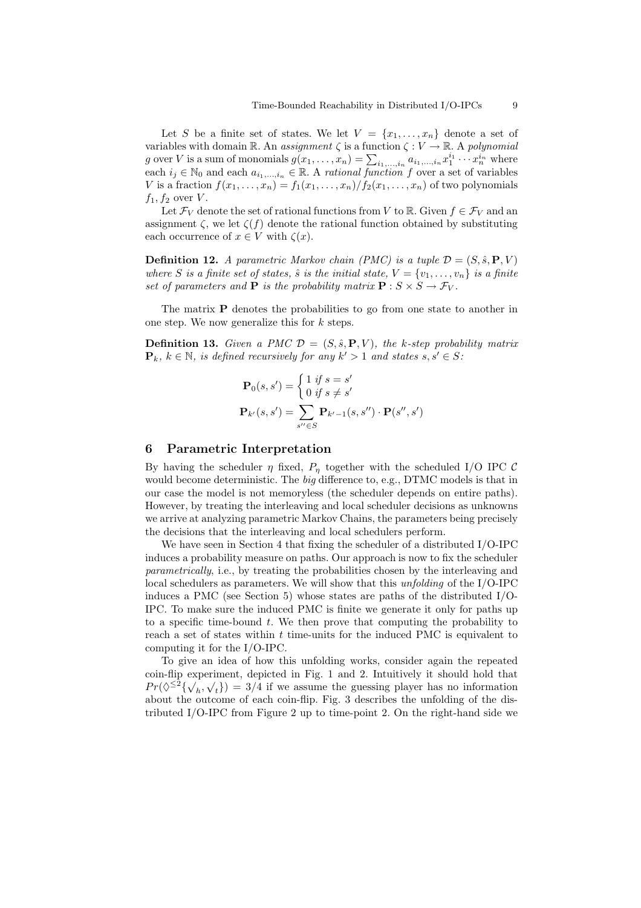Let S be a finite set of states. We let  $V = \{x_1, \ldots, x_n\}$  denote a set of variables with domain R. An assignment  $\zeta$  is a function  $\zeta : V \to \mathbb{R}$ . A polynomial g over V is a sum of monomials  $g(x_1, \ldots, x_n) = \sum_{i_1, \ldots, i_n} a_{i_1, \ldots, i_n} x_1^{i_1} \cdots x_n^{i_n}$  where each  $i_j \in \mathbb{N}_0$  and each  $a_{i_1,\dots,i_n} \in \mathbb{R}$ . A rational function f over a set of variables V is a fraction  $f(x_1, \ldots, x_n) = f_1(x_1, \ldots, x_n) / f_2(x_1, \ldots, x_n)$  of two polynomials  $f_1, f_2$  over  $V$ .

Let  $\mathcal{F}_V$  denote the set of rational functions from V to R. Given  $f \in \mathcal{F}_V$  and an assignment  $\zeta$ , we let  $\zeta(f)$  denote the rational function obtained by substituting each occurrence of  $x \in V$  with  $\zeta(x)$ .

**Definition 12.** A parametric Markov chain (PMC) is a tuple  $\mathcal{D} = (S, \hat{s}, P, V)$ where S is a finite set of states,  $\hat{s}$  is the initial state,  $V = \{v_1, \ldots, v_n\}$  is a finite set of parameters and **P** is the probability matrix  $\mathbf{P}: S \times S \to \mathcal{F}_V$ .

The matrix P denotes the probabilities to go from one state to another in one step. We now generalize this for  $k$  steps.

**Definition 13.** Given a PMC  $\mathcal{D} = (S, \hat{s}, P, V)$ , the k-step probability matrix  $\mathbf{P}_k, k \in \mathbb{N}$ , is defined recursively for any  $k' > 1$  and states  $s, s' \in S$ :

$$
\mathbf{P}_0(s, s') = \begin{cases} 1 & \text{if } s = s' \\ 0 & \text{if } s \neq s' \end{cases}
$$

$$
\mathbf{P}_{k'}(s, s') = \sum_{s'' \in S} \mathbf{P}_{k'-1}(s, s'') \cdot \mathbf{P}(s'', s')
$$

### 6 Parametric Interpretation

By having the scheduler  $\eta$  fixed,  $P_n$  together with the scheduled I/O IPC C would become deterministic. The *big* difference to, e.g., DTMC models is that in our case the model is not memoryless (the scheduler depends on entire paths). However, by treating the interleaving and local scheduler decisions as unknowns we arrive at analyzing parametric Markov Chains, the parameters being precisely the decisions that the interleaving and local schedulers perform.

We have seen in Section 4 that fixing the scheduler of a distributed I/O-IPC induces a probability measure on paths. Our approach is now to fix the scheduler parametrically, i.e., by treating the probabilities chosen by the interleaving and local schedulers as parameters. We will show that this *unfolding* of the I/O-IPC induces a PMC (see Section 5) whose states are paths of the distributed I/O-IPC. To make sure the induced PMC is finite we generate it only for paths up to a specific time-bound  $t$ . We then prove that computing the probability to reach a set of states within t time-units for the induced PMC is equivalent to computing it for the I/O-IPC.

To give an idea of how this unfolding works, consider again the repeated coin-flip experiment, depicted in Fig. 1 and 2. Intuitively it should hold that  $Pr(\lozenge^2 \{\sqrt{h}, \sqrt{t}\}) = 3/4$  if we assume the guessing player has no information about the outcome of each coin-flip. Fig. 3 describes the unfolding of the distributed I/O-IPC from Figure 2 up to time-point 2. On the right-hand side we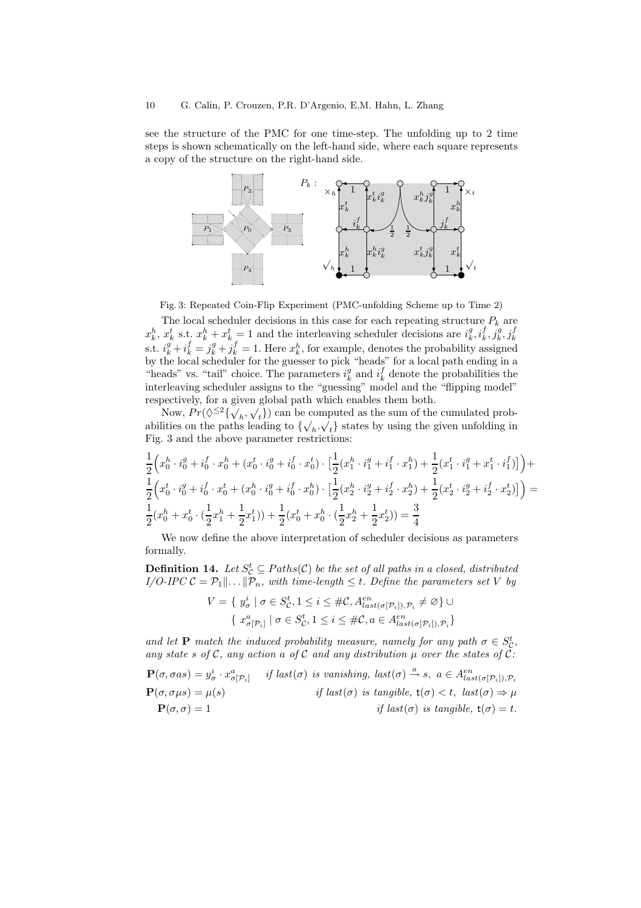see the structure of the PMC for one time-step. The unfolding up to 2 time steps is shown schematically on the left-hand side, where each square represents a copy of the structure on the right-hand side.



Fig. 3: Repeated Coin-Flip Experiment (PMC-unfolding Scheme up to Time 2)

The local scheduler decisions in this case for each repeating structure  $P_k$  are  $x_k^h, x_k^t$  s.t.  $x_k^h + x_k^t = 1$  and the interleaving scheduler decisions are  $i_k^g, i_k^f, j_k^g, j_k^f$ s.t.  $i_k^g + i_k^f = j_k^g + j_k^f = 1$ . Here  $x_k^h$ , for example, denotes the probability assigned by the local scheduler for the guesser to pick "heads" for a local path ending in a "heads" vs. "tail" choice. The parameters  $i_k^g$  and  $i_k^f$  denote the probabilities the interleaving scheduler assigns to the "guessing" model and the "flipping model" respectively, for a given global path which enables them both.

Now,  $Pr(\lozenge^2 \{ \bigvee_h, \bigvee_t \})$  can be computed as the sum of the cumulated probabilities on the paths leading to  $\{\sqrt{h}, \sqrt{t}\}$  states by using the given unfolding in Fig. 3 and the above parameter restrictions:

$$
\begin{aligned} &\frac{1}{2}\Big(x_0^h\cdot i_0^g+i_0^f\cdot x_0^h+(x_0^t\cdot i_0^g+i_0^f\cdot x_0^t)\cdot\big[\frac{1}{2}(x_1^h\cdot i_1^g+i_1^f\cdot x_1^h)+\frac{1}{2}(x_1^t\cdot i_1^g+x_1^t\cdot i_1^f)\big]\Big)+\\ &\frac{1}{2}\Big(x_0^t\cdot i_0^g+i_0^f\cdot x_0^t+(x_0^h\cdot i_0^g+i_0^f\cdot x_0^h)\cdot\big[\frac{1}{2}(x_2^h\cdot i_2^g+i_2^f\cdot x_2^h)+\frac{1}{2}(x_2^t\cdot i_2^g+i_2^f\cdot x_2^t)\big]\Big)=\\ &\frac{1}{2}(x_0^h+x_0^t\cdot (\frac{1}{2}x_1^h+\frac{1}{2}x_1^t))+\frac{1}{2}(x_0^t+x_0^h\cdot (\frac{1}{2}x_2^h+\frac{1}{2}x_2^t))=\frac{3}{4} \end{aligned}
$$

We now define the above interpretation of scheduler decisions as parameters formally.

**Definition 14.** Let  $S^t_{\mathcal{C}} \subseteq Paths(\mathcal{C})$  be the set of all paths in a closed, distributed  $I/O\text{-}IPC \mathcal{C} = \mathcal{P}_1 \| \dots \| \mathcal{P}_n$ , with time-length  $\leq t$ . Define the parameters set V by

$$
V = \{ y_{\sigma}^i \mid \sigma \in S_{\mathcal{C}}^t, 1 \le i \le \#\mathcal{C}, A_{last(\sigma[\mathcal{P}_i]), \mathcal{P}_i}^{en} \neq \varnothing \} \cup
$$

$$
\{ x_{\sigma[\mathcal{P}_i]}^a \mid \sigma \in S_{\mathcal{C}}^t, 1 \le i \le \#\mathcal{C}, a \in A_{last(\sigma[\mathcal{P}_i]), \mathcal{P}_i}^{en} \}
$$

and let **P** match the induced probability measure, namely for any path  $\sigma \in S_{\mathcal{C}}^t$ , any state s of C, any action a of C and any distribution  $\mu$  over the states of C:  $\mathbf{P}(\sigma, \sigma as) = y^i_{\sigma} \cdot x^a_{\sigma[\mathcal{P}_i]}$  if last $(\sigma)$  is vanishing, last $(\sigma) \stackrel{a}{\rightarrow} s$ ,  $a \in A^{en}_{last(\sigma[\mathcal{P}_i]), \mathcal{P}_i}$  $P(\sigma, \sigma \mu s) = \mu(s)$  if last( $\sigma$ ) is tangible,  $t(\sigma) < t$ , last( $\sigma$ )  $\Rightarrow \mu$  $P(\sigma, \sigma) = 1$  if last( $\sigma$ ) is tangible,  $t(\sigma) = t$ .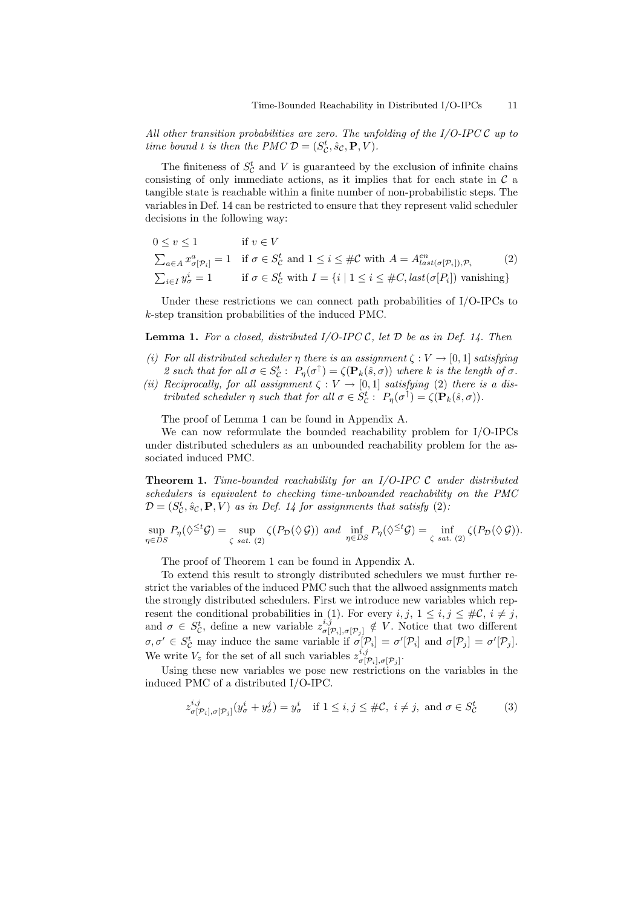All other transition probabilities are zero. The unfolding of the  $I/O$ -IPC  $C$  up to time bound t is then the PMC  $\mathcal{D} = (S_{\mathcal{C}}^t, \hat{s}_{\mathcal{C}}, \mathbf{P}, V)$ .

The finiteness of  $S_C^t$  and V is guaranteed by the exclusion of infinite chains consisting of only immediate actions, as it implies that for each state in  $\mathcal C$  a tangible state is reachable within a finite number of non-probabilistic steps. The variables in Def. 14 can be restricted to ensure that they represent valid scheduler decisions in the following way:

$$
0 \le v \le 1 \qquad \text{if } v \in V
$$
  
\n
$$
\sum_{a \in A} x^a_{\sigma[\mathcal{P}_i]} = 1 \quad \text{if } \sigma \in S^t_C \text{ and } 1 \le i \le \#\mathcal{C} \text{ with } A = A^{en}_{last(\sigma[\mathcal{P}_i]), \mathcal{P}_i} \qquad (2)
$$
  
\n
$$
\sum_{i \in I} y^i_{\sigma} = 1 \qquad \text{if } \sigma \in S^t_C \text{ with } I = \{i \mid 1 \le i \le \#\mathcal{C}, last(\sigma[P_i]) \text{ vanishing}\}
$$

Under these restrictions we can connect path probabilities of I/O-IPCs to k-step transition probabilities of the induced PMC.

**Lemma 1.** For a closed, distributed  $I/O$ -IPC C, let  $D$  be as in Def. 14. Then

- (i) For all distributed scheduler  $\eta$  there is an assignment  $\zeta : V \to [0,1]$  satisfying 2 such that for all  $\sigma \in S_{\mathcal{C}}^t$ :  $P_{\eta}(\sigma^{\uparrow}) = \zeta(\mathbf{P}_k(\hat{s}, \sigma))$  where k is the length of  $\sigma$ .
- (ii) Reciprocally, for all assignment  $\zeta : V \to [0,1]$  satisfying (2) there is a distributed scheduler  $\eta$  such that for all  $\sigma \in S_{\mathcal{C}}^t$ :  $P_{\eta}(\sigma^{\uparrow}) = \zeta(\mathbf{P}_k(\hat{s}, \sigma)).$

The proof of Lemma 1 can be found in Appendix A.

We can now reformulate the bounded reachability problem for I/O-IPCs under distributed schedulers as an unbounded reachability problem for the associated induced PMC.

**Theorem 1.** Time-bounded reachability for an  $I/O$ -IPC  $C$  under distributed schedulers is equivalent to checking time-unbounded reachability on the PMC  $\mathcal{D} = (S_{\mathcal{C}}^t, \hat{s}_{\mathcal{C}}, \mathbf{P}, V)$  as in Def. 14 for assignments that satisfy (2):

$$
\sup_{\eta \in DS} P_{\eta}(\Diamond^{\leq t} \mathcal{G}) = \sup_{\zeta \text{ sat. (2)}} \zeta(P_{\mathcal{D}}(\Diamond \mathcal{G})) \text{ and } \inf_{\eta \in DS} P_{\eta}(\Diamond^{\leq t} \mathcal{G}) = \inf_{\zeta \text{ sat. (2)}} \zeta(P_{\mathcal{D}}(\Diamond \mathcal{G})).
$$

The proof of Theorem 1 can be found in Appendix A.

To extend this result to strongly distributed schedulers we must further restrict the variables of the induced PMC such that the allwoed assignments match the strongly distributed schedulers. First we introduce new variables which represent the conditional probabilities in (1). For every  $i, j, 1 \leq i, j \leq \#\mathcal{C}, i \neq j$ , and  $\sigma \in S_{\mathcal{C}}^{t}$ , define a new variable  $z_{\sigma[\tilde{\tau}]}^{i,j}$  $\sigma[\mathcal{P}_i], \sigma[\mathcal{P}_j] \notin V$ . Notice that two different  $\sigma, \sigma' \in S_{\mathcal{C}}^{t}$  may induce the same variable if  $\sigma[\mathcal{P}_i] = \sigma'[\mathcal{P}_i]$  and  $\sigma[\mathcal{P}_j] = \sigma'[\mathcal{P}_j]$ . We write  $V_z$  for the set of all such variables  $z_{\sigma}^{i,j}$  $\sigma[\mathcal{P}_i], \sigma[\mathcal{P}_j]$  .

Using these new variables we pose new restrictions on the variables in the induced PMC of a distributed I/O-IPC.

$$
z^{i,j}_{\sigma[\mathcal{P}_i],\sigma[\mathcal{P}_j]}(y^i_{\sigma} + y^j_{\sigma}) = y^i_{\sigma} \quad \text{if } 1 \le i, j \le \#\mathcal{C}, \ i \ne j, \text{ and } \sigma \in S^t_{\mathcal{C}} \tag{3}
$$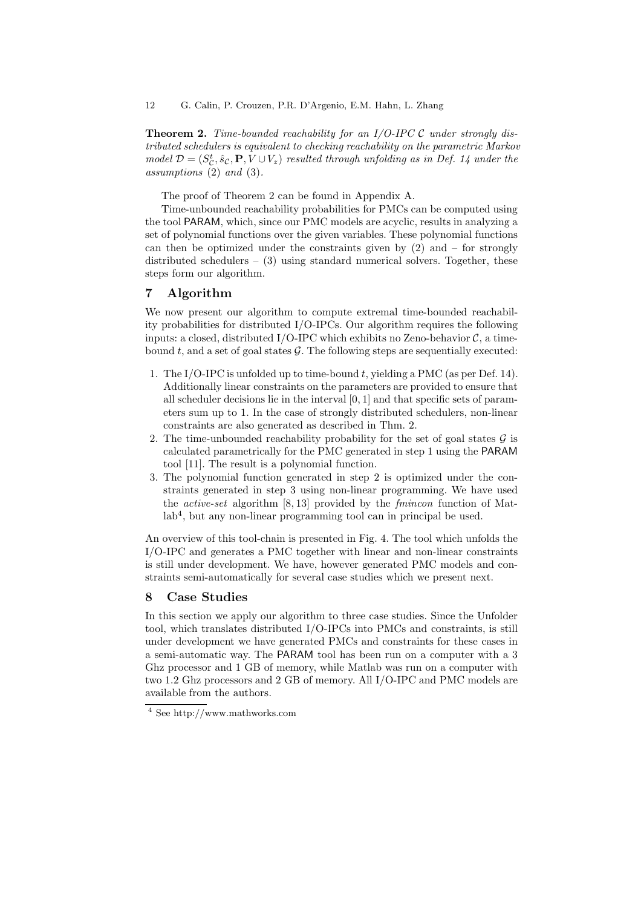**Theorem 2.** Time-bounded reachability for an  $I/O$ -IPC  $C$  under strongly distributed schedulers is equivalent to checking reachability on the parametric Markov model  $\mathcal{D} = (S_{\mathcal{C}}^t, \hat{s}_{\mathcal{C}}, \mathbf{P}, V \cup V_z)$  resulted through unfolding as in Def. 14 under the assumptions (2) and (3).

The proof of Theorem 2 can be found in Appendix A.

Time-unbounded reachability probabilities for PMCs can be computed using the tool PARAM, which, since our PMC models are acyclic, results in analyzing a set of polynomial functions over the given variables. These polynomial functions can then be optimized under the constraints given by  $(2)$  and  $-$  for strongly distributed schedulers  $-$  (3) using standard numerical solvers. Together, these steps form our algorithm.

## 7 Algorithm

We now present our algorithm to compute extremal time-bounded reachability probabilities for distributed I/O-IPCs. Our algorithm requires the following inputs: a closed, distributed I/O-IPC which exhibits no Zeno-behavior  $\mathcal{C}$ , a timebound t, and a set of goal states  $\mathcal{G}$ . The following steps are sequentially executed:

- 1. The I/O-IPC is unfolded up to time-bound t, yielding a PMC (as per Def. 14). Additionally linear constraints on the parameters are provided to ensure that all scheduler decisions lie in the interval [0, 1] and that specific sets of parameters sum up to 1. In the case of strongly distributed schedulers, non-linear constraints are also generated as described in Thm. 2.
- 2. The time-unbounded reachability probability for the set of goal states  $\mathcal G$  is calculated parametrically for the PMC generated in step 1 using the PARAM tool [11]. The result is a polynomial function.
- 3. The polynomial function generated in step 2 is optimized under the constraints generated in step 3 using non-linear programming. We have used the active-set algorithm [8, 13] provided by the fmincon function of Matlab<sup>4</sup>, but any non-linear programming tool can in principal be used.

An overview of this tool-chain is presented in Fig. 4. The tool which unfolds the I/O-IPC and generates a PMC together with linear and non-linear constraints is still under development. We have, however generated PMC models and constraints semi-automatically for several case studies which we present next.

# 8 Case Studies

In this section we apply our algorithm to three case studies. Since the Unfolder tool, which translates distributed I/O-IPCs into PMCs and constraints, is still under development we have generated PMCs and constraints for these cases in a semi-automatic way. The PARAM tool has been run on a computer with a 3 Ghz processor and 1 GB of memory, while Matlab was run on a computer with two 1.2 Ghz processors and 2 GB of memory. All I/O-IPC and PMC models are available from the authors.

<sup>4</sup> See http://www.mathworks.com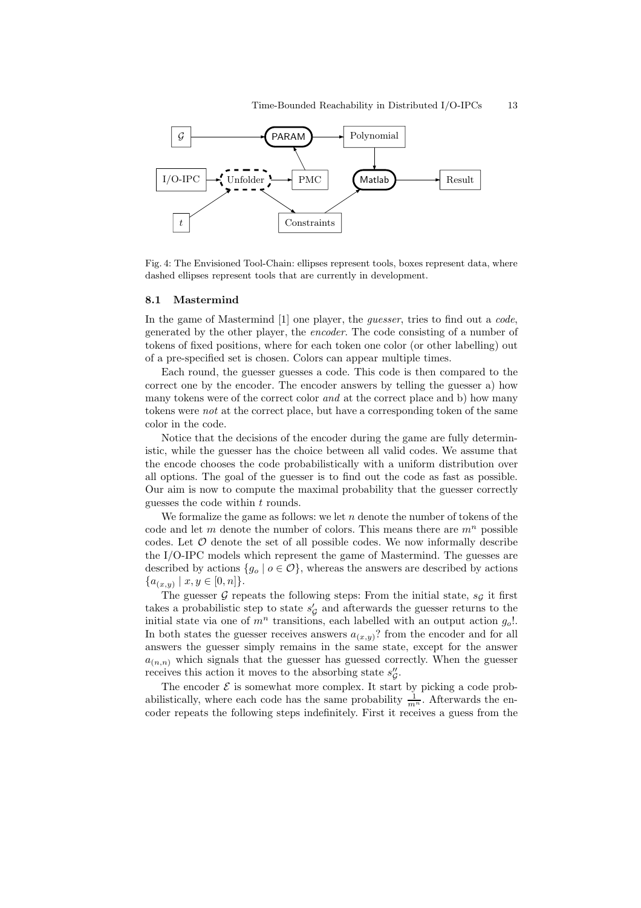

Fig. 4: The Envisioned Tool-Chain: ellipses represent tools, boxes represent data, where dashed ellipses represent tools that are currently in development.

#### 8.1 Mastermind

In the game of Mastermind [1] one player, the *guesser*, tries to find out a code, generated by the other player, the encoder. The code consisting of a number of tokens of fixed positions, where for each token one color (or other labelling) out of a pre-specified set is chosen. Colors can appear multiple times.

Each round, the guesser guesses a code. This code is then compared to the correct one by the encoder. The encoder answers by telling the guesser a) how many tokens were of the correct color and at the correct place and b) how many tokens were not at the correct place, but have a corresponding token of the same color in the code.

Notice that the decisions of the encoder during the game are fully deterministic, while the guesser has the choice between all valid codes. We assume that the encode chooses the code probabilistically with a uniform distribution over all options. The goal of the guesser is to find out the code as fast as possible. Our aim is now to compute the maximal probability that the guesser correctly guesses the code within  $t$  rounds.

We formalize the game as follows: we let  $n$  denote the number of tokens of the code and let m denote the number of colors. This means there are  $m<sup>n</sup>$  possible codes. Let  $O$  denote the set of all possible codes. We now informally describe the I/O-IPC models which represent the game of Mastermind. The guesses are described by actions  $\{g_0 \mid o \in \mathcal{O}\}\,$ , whereas the answers are described by actions  $\{a_{(x,y)} \mid x, y \in [0,n]\}.$ 

The guesser G repeats the following steps: From the initial state,  $s<sub>G</sub>$  it first takes a probabilistic step to state  $s'_{\mathcal{G}}$  and afterwards the guesser returns to the initial state via one of  $m^n$  transitions, each labelled with an output action  $g_o!$ . In both states the guesser receives answers  $a_{(x,y)}$ ? from the encoder and for all answers the guesser simply remains in the same state, except for the answer  $a_{(n,n)}$  which signals that the guesser has guessed correctly. When the guesser receives this action it moves to the absorbing state  $s''_\mathcal{G}$ .

The encoder  $\mathcal E$  is somewhat more complex. It start by picking a code probabilistically, where each code has the same probability  $\frac{1}{m^n}$ . Afterwards the encoder repeats the following steps indefinitely. First it receives a guess from the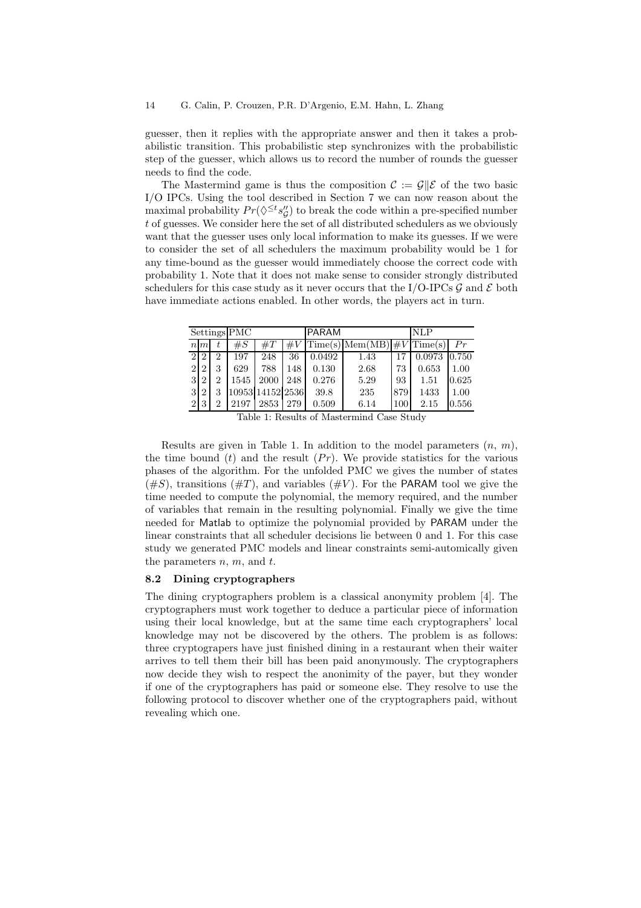guesser, then it replies with the appropriate answer and then it takes a probabilistic transition. This probabilistic step synchronizes with the probabilistic step of the guesser, which allows us to record the number of rounds the guesser needs to find the code.

The Mastermind game is thus the composition  $\mathcal{C} := \mathcal{G} \parallel \mathcal{E}$  of the two basic I/O IPCs. Using the tool described in Section 7 we can now reason about the maximal probability  $Pr(\lozenge^{\le t} s_{\mathcal{G}}'')$  to break the code within a pre-specified number t of guesses. We consider here the set of all distributed schedulers as we obviously want that the guesser uses only local information to make its guesses. If we were to consider the set of all schedulers the maximum probability would be 1 for any time-bound as the guesser would immediately choose the correct code with probability 1. Note that it does not make sense to consider strongly distributed schedulers for this case study as it never occurs that the I/O-IPCs  $\mathcal G$  and  $\mathcal E$  both have immediate actions enabled. In other words, the players act in turn.

| Settings $\overline{\text{PMC}}$ |                |   |       |                  |       | <b>PARAM</b> |                   |     | NLP           |       |
|----------------------------------|----------------|---|-------|------------------|-------|--------------|-------------------|-----|---------------|-------|
|                                  | $n \, m$       |   | $\#S$ | $\#T$            | $\#V$ |              | $Time(s)$ Mem(MB) |     | $\#V$ Time(s) | Pr    |
| $\overline{2}$                   | 2              | 2 | 197   | 248              | 36    | 0.0492       | 1.43              | 17  | 0.0973        | 0.750 |
| $\mathfrak{D}$                   | $\mathcal{D}$  | 3 | 629   | 788              | 148   | 0.130        | 2.68              | 73  | 0.653         | 1.00  |
| 3                                | $\overline{2}$ | 2 | 1545  | 2000             | 248   | 0.276        | 5.29              | 93  | 1.51          | 0.625 |
| 3                                | $\overline{2}$ | 3 |       | 10953 14152 2536 |       | 39.8         | 235               | 879 | 1433          | 1.00  |
| $\overline{2}$                   | 3              | 2 | 2197  | 2853             | 279   | 0.509        | 6.14              | 100 | 2.15          | 0.556 |

Table 1: Results of Mastermind Case Study

Results are given in Table 1. In addition to the model parameters  $(n, m)$ , the time bound  $(t)$  and the result  $(Pr)$ . We provide statistics for the various phases of the algorithm. For the unfolded PMC we gives the number of states  $(\#S)$ , transitions  $(\#T)$ , and variables  $(\#V)$ . For the PARAM tool we give the time needed to compute the polynomial, the memory required, and the number of variables that remain in the resulting polynomial. Finally we give the time needed for Matlab to optimize the polynomial provided by PARAM under the linear constraints that all scheduler decisions lie between 0 and 1. For this case study we generated PMC models and linear constraints semi-automically given the parameters  $n, m$ , and  $t$ .

#### 8.2 Dining cryptographers

The dining cryptographers problem is a classical anonymity problem [4]. The cryptographers must work together to deduce a particular piece of information using their local knowledge, but at the same time each cryptographers' local knowledge may not be discovered by the others. The problem is as follows: three cryptograpers have just finished dining in a restaurant when their waiter arrives to tell them their bill has been paid anonymously. The cryptographers now decide they wish to respect the anonimity of the payer, but they wonder if one of the cryptographers has paid or someone else. They resolve to use the following protocol to discover whether one of the cryptographers paid, without revealing which one.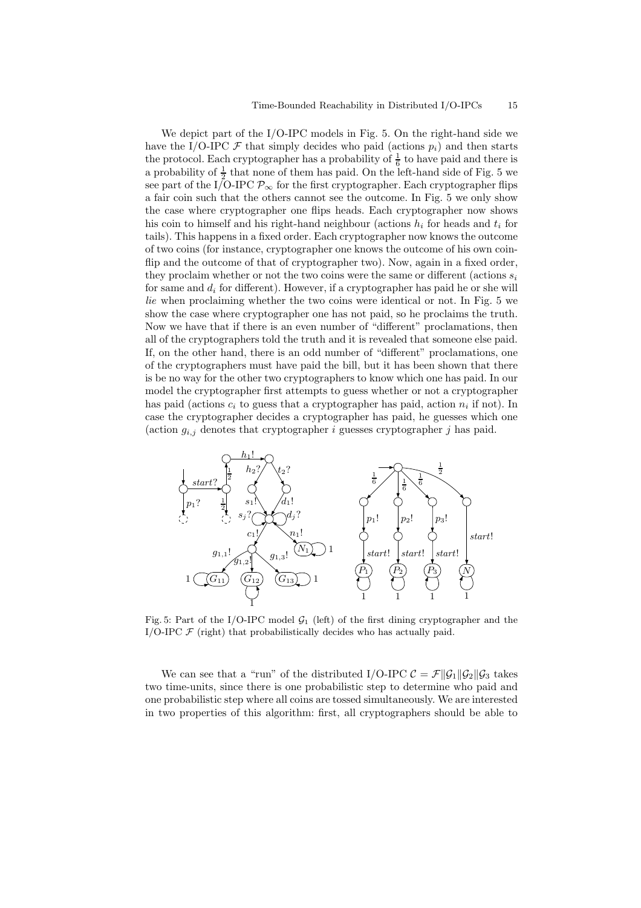We depict part of the I/O-IPC models in Fig. 5. On the right-hand side we have the I/O-IPC  $\mathcal F$  that simply decides who paid (actions  $p_i$ ) and then starts the protocol. Each cryptographer has a probability of  $\frac{1}{6}$  to have paid and there is a probability of  $\frac{1}{2}$  that none of them has paid. On the left-hand side of Fig. 5 we see part of the I/O-IPC  $\mathcal{P}_{\infty}$  for the first cryptographer. Each cryptographer flips a fair coin such that the others cannot see the outcome. In Fig. 5 we only show the case where cryptographer one flips heads. Each cryptographer now shows his coin to himself and his right-hand neighbour (actions  $h_i$  for heads and  $t_i$  for tails). This happens in a fixed order. Each cryptographer now knows the outcome of two coins (for instance, cryptographer one knows the outcome of his own coinflip and the outcome of that of cryptographer two). Now, again in a fixed order, they proclaim whether or not the two coins were the same or different (actions  $s_i$ ) for same and  $d_i$  for different). However, if a cryptographer has paid he or she will lie when proclaiming whether the two coins were identical or not. In Fig. 5 we show the case where cryptographer one has not paid, so he proclaims the truth. Now we have that if there is an even number of "different" proclamations, then all of the cryptographers told the truth and it is revealed that someone else paid. If, on the other hand, there is an odd number of "different" proclamations, one of the cryptographers must have paid the bill, but it has been shown that there is be no way for the other two cryptographers to know which one has paid. In our model the cryptographer first attempts to guess whether or not a cryptographer has paid (actions  $c_i$  to guess that a cryptographer has paid, action  $n_i$  if not). In case the cryptographer decides a cryptographer has paid, he guesses which one (action  $g_{i,j}$  denotes that cryptographer i guesses cryptographer j has paid.



Fig. 5: Part of the I/O-IPC model  $\mathcal{G}_1$  (left) of the first dining cryptographer and the I/O-IPC  $F$  (right) that probabilistically decides who has actually paid.

We can see that a "run" of the distributed I/O-IPC  $\mathcal{C} = \mathcal{F}||\mathcal{G}_1||\mathcal{G}_2||\mathcal{G}_3$  takes two time-units, since there is one probabilistic step to determine who paid and one probabilistic step where all coins are tossed simultaneously. We are interested in two properties of this algorithm: first, all cryptographers should be able to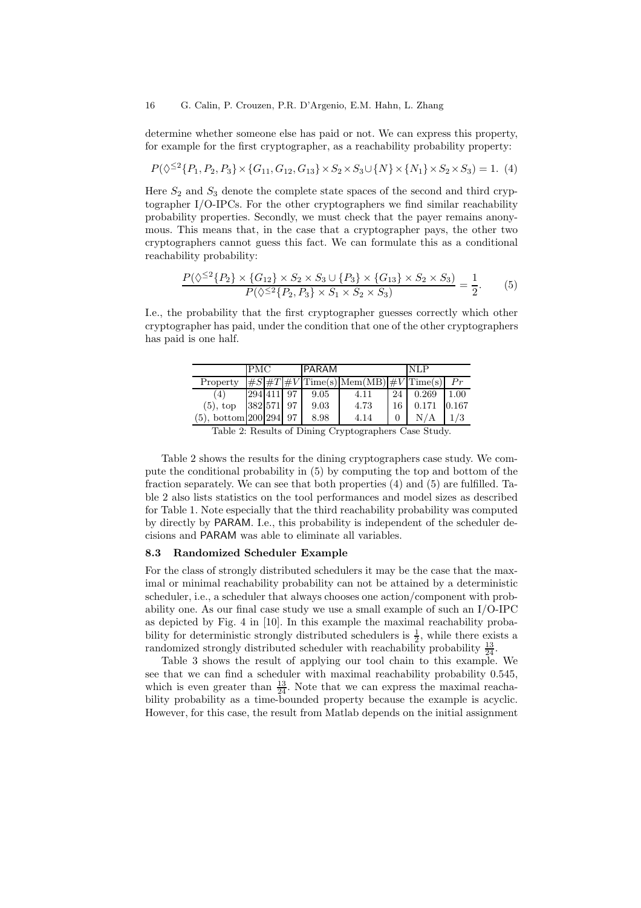determine whether someone else has paid or not. We can express this property, for example for the first cryptographer, as a reachability probability property:

$$
P(\lozenge^{\leq 2} \{P_1, P_2, P_3\} \times \{G_{11}, G_{12}, G_{13}\} \times S_2 \times S_3 \cup \{N\} \times \{N_1\} \times S_2 \times S_3) = 1. \tag{4}
$$

Here  $S_2$  and  $S_3$  denote the complete state spaces of the second and third cryptographer I/O-IPCs. For the other cryptographers we find similar reachability probability properties. Secondly, we must check that the payer remains anonymous. This means that, in the case that a cryptographer pays, the other two cryptographers cannot guess this fact. We can formulate this as a conditional reachability probability:

$$
\frac{P(\lozenge^{\leq 2}{P_2} \times {G_{12}} \times S_2 \times S_3 \cup {P_3} \times {G_{13}} \times S_2 \times S_3)}{P(\lozenge^{\leq 2}{P_2, P_3} \times S_1 \times S_2 \times S_3)} = \frac{1}{2}.
$$
 (5)

I.e., the probability that the first cryptographer guesses correctly which other cryptographer has paid, under the condition that one of the other cryptographers has paid is one half.

|                        | <b>PMC</b> |            |  | PARAM |                                           |    | NLP   |       |
|------------------------|------------|------------|--|-------|-------------------------------------------|----|-------|-------|
| Property               |            |            |  |       | $\#S\#T\#V$ Time(s) Mem(MB) $\#V$ Time(s) |    |       |       |
| (4)                    |            | 294 411    |  | 9.05  | 4.11                                      | 24 | 0.269 | 1.00  |
| $(5)$ , top            |            | 382 571 97 |  | 9.03  | 4.73                                      | 16 | 0.171 | 0.167 |
| $(5)$ , bottom 200 294 |            |            |  | 8.98  | 4.14                                      |    |       |       |

Table 2 shows the results for the dining cryptographers case study. We compute the conditional probability in (5) by computing the top and bottom of the fraction separately. We can see that both properties (4) and (5) are fulfilled. Table 2 also lists statistics on the tool performances and model sizes as described for Table 1. Note especially that the third reachability probability was computed by directly by PARAM. I.e., this probability is independent of the scheduler decisions and PARAM was able to eliminate all variables.

#### 8.3 Randomized Scheduler Example

For the class of strongly distributed schedulers it may be the case that the maximal or minimal reachability probability can not be attained by a deterministic scheduler, i.e., a scheduler that always chooses one action/component with probability one. As our final case study we use a small example of such an I/O-IPC as depicted by Fig. 4 in [10]. In this example the maximal reachability probability for deterministic strongly distributed schedulers is  $\frac{1}{2}$ , while there exists a randomized strongly distributed scheduler with reachability probability  $\frac{13}{24}$ .

Table 3 shows the result of applying our tool chain to this example. We see that we can find a scheduler with maximal reachability probability 0.545, which is even greater than  $\frac{13}{24}$ . Note that we can express the maximal reachability probability as a time-bounded property because the example is acyclic. However, for this case, the result from Matlab depends on the initial assignment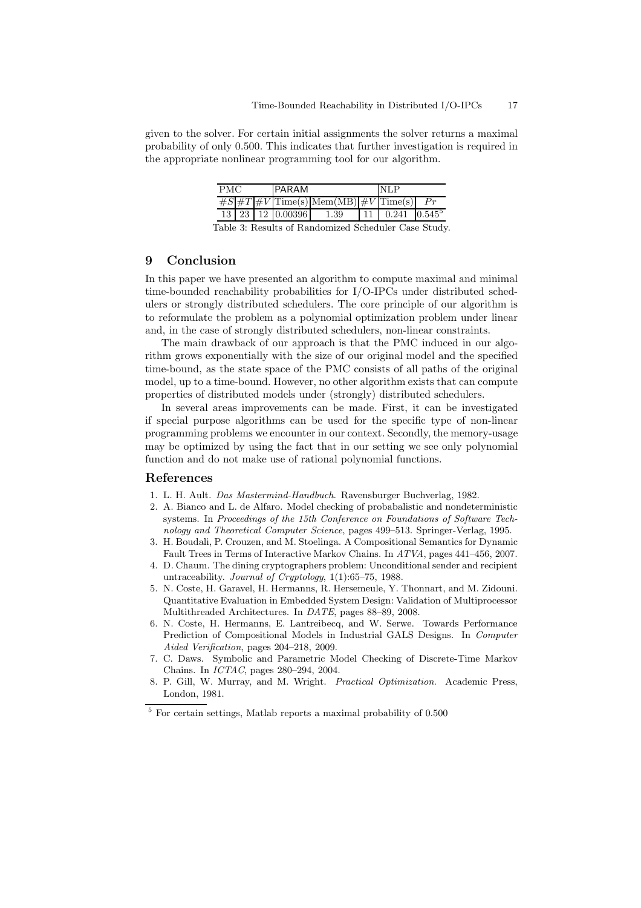given to the solver. For certain initial assignments the solver returns a maximal probability of only 0.500. This indicates that further investigation is required in the appropriate nonlinear programming tool for our algorithm.

| PMC                    |  |  |  | <b>PARAM</b>                      |                                                                        | <b>NLP</b> |                                    |  |
|------------------------|--|--|--|-----------------------------------|------------------------------------------------------------------------|------------|------------------------------------|--|
|                        |  |  |  |                                   | $\sqrt{\#S \#T \#V }\text{Time}(s) \text{Mem}(MB) \#V \text{Time}(s) $ |            |                                    |  |
|                        |  |  |  | $13 \mid 23 \mid 12 \mid 0.00396$ | 1.39                                                                   |            | $11 \mid 0.241 \mid 0.545^{\circ}$ |  |
| ו ום ווויוויות היוויות |  |  |  |                                   |                                                                        |            |                                    |  |

Table 3: Results of Randomized Scheduler Case Study.

### 9 Conclusion

In this paper we have presented an algorithm to compute maximal and minimal time-bounded reachability probabilities for I/O-IPCs under distributed schedulers or strongly distributed schedulers. The core principle of our algorithm is to reformulate the problem as a polynomial optimization problem under linear and, in the case of strongly distributed schedulers, non-linear constraints.

The main drawback of our approach is that the PMC induced in our algorithm grows exponentially with the size of our original model and the specified time-bound, as the state space of the PMC consists of all paths of the original model, up to a time-bound. However, no other algorithm exists that can compute properties of distributed models under (strongly) distributed schedulers.

In several areas improvements can be made. First, it can be investigated if special purpose algorithms can be used for the specific type of non-linear programming problems we encounter in our context. Secondly, the memory-usage may be optimized by using the fact that in our setting we see only polynomial function and do not make use of rational polynomial functions.

### References

- 1. L. H. Ault. Das Mastermind-Handbuch. Ravensburger Buchverlag, 1982.
- 2. A. Bianco and L. de Alfaro. Model checking of probabalistic and nondeterministic systems. In Proceedings of the 15th Conference on Foundations of Software Technology and Theoretical Computer Science, pages 499–513. Springer-Verlag, 1995.
- 3. H. Boudali, P. Crouzen, and M. Stoelinga. A Compositional Semantics for Dynamic Fault Trees in Terms of Interactive Markov Chains. In ATVA, pages 441–456, 2007.
- 4. D. Chaum. The dining cryptographers problem: Unconditional sender and recipient untraceability. Journal of Cryptology, 1(1):65–75, 1988.
- 5. N. Coste, H. Garavel, H. Hermanns, R. Hersemeule, Y. Thonnart, and M. Zidouni. Quantitative Evaluation in Embedded System Design: Validation of Multiprocessor Multithreaded Architectures. In DATE, pages 88–89, 2008.
- 6. N. Coste, H. Hermanns, E. Lantreibecq, and W. Serwe. Towards Performance Prediction of Compositional Models in Industrial GALS Designs. In Computer Aided Verification, pages 204–218, 2009.
- 7. C. Daws. Symbolic and Parametric Model Checking of Discrete-Time Markov Chains. In ICTAC, pages 280–294, 2004.
- 8. P. Gill, W. Murray, and M. Wright. Practical Optimization. Academic Press, London, 1981.

 $^5$  For certain settings, Matlab reports a maximal probability of  $0.500\,$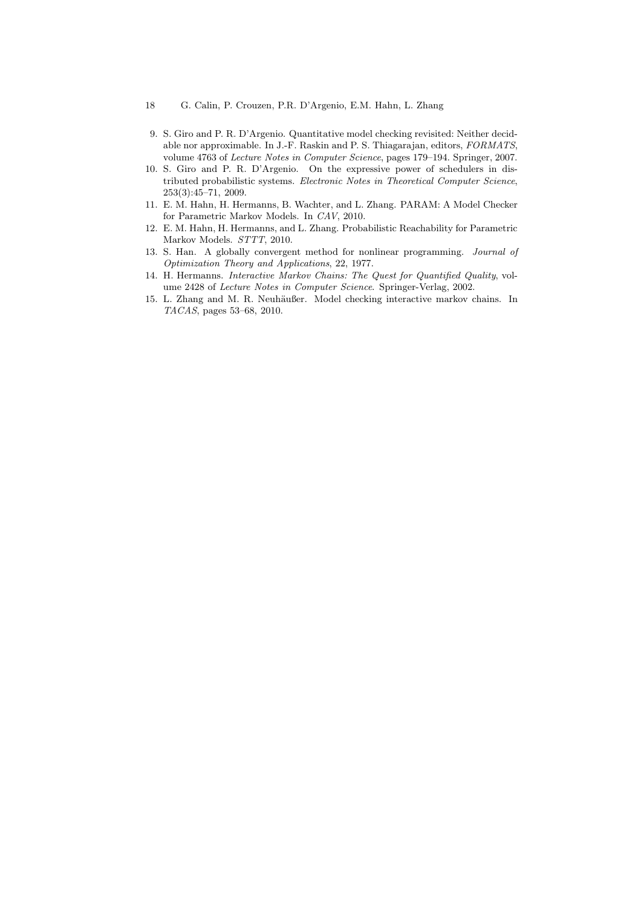- 18 G. Calin, P. Crouzen, P.R. D'Argenio, E.M. Hahn, L. Zhang
- 9. S. Giro and P. R. D'Argenio. Quantitative model checking revisited: Neither decidable nor approximable. In J.-F. Raskin and P. S. Thiagarajan, editors, FORMATS, volume 4763 of Lecture Notes in Computer Science, pages 179–194. Springer, 2007.
- 10. S. Giro and P. R. D'Argenio. On the expressive power of schedulers in distributed probabilistic systems. Electronic Notes in Theoretical Computer Science, 253(3):45–71, 2009.
- 11. E. M. Hahn, H. Hermanns, B. Wachter, and L. Zhang. PARAM: A Model Checker for Parametric Markov Models. In CAV, 2010.
- 12. E. M. Hahn, H. Hermanns, and L. Zhang. Probabilistic Reachability for Parametric Markov Models. STTT, 2010.
- 13. S. Han. A globally convergent method for nonlinear programming. Journal of Optimization Theory and Applications, 22, 1977.
- 14. H. Hermanns. Interactive Markov Chains: The Quest for Quantified Quality, volume 2428 of Lecture Notes in Computer Science. Springer-Verlag, 2002.
- 15. L. Zhang and M. R. Neuhäußer. Model checking interactive markov chains. In TACAS, pages 53–68, 2010.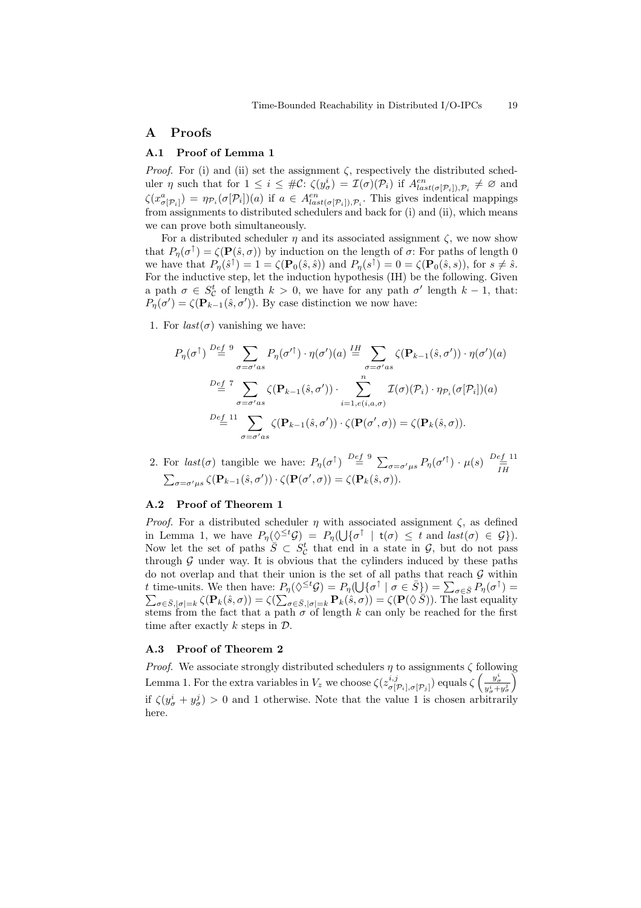# A Proofs

### A.1 Proof of Lemma 1

*Proof.* For (i) and (ii) set the assignment  $\zeta$ , respectively the distributed scheduler  $\eta$  such that for  $1 \leq i \leq #\mathcal{C}$ :  $\zeta(y^i_{\sigma}) = \mathcal{I}(\sigma)(\mathcal{P}_i)$  if  $A^{en}_{last(\sigma[\mathcal{P}_i]), \mathcal{P}_i} \neq \emptyset$  and  $\zeta(x_{\sigma[\mathcal{P}_i]}^a) = \eta_{\mathcal{P}_i}(\sigma[\mathcal{P}_i])(a)$  if  $a \in A^{en}_{last(\sigma[\mathcal{P}_i]), \mathcal{P}_i}$ . This gives indentical mappings from assignments to distributed schedulers and back for (i) and (ii), which means we can prove both simultaneously.

For a distributed scheduler  $\eta$  and its associated assignment  $\zeta$ , we now show that  $P_{\eta}(\sigma^{\uparrow}) = \zeta(\mathbf{P}(\hat{s}, \sigma))$  by induction on the length of  $\sigma$ : For paths of length 0 we have that  $P_{\eta}(\hat{s}^{\uparrow}) = 1 = \zeta(\mathbf{P}_0(\hat{s}, \hat{s}))$  and  $P_{\eta}(s^{\uparrow}) = 0 = \zeta(\mathbf{P}_0(\hat{s}, s))$ , for  $s \neq \hat{s}$ . For the inductive step, let the induction hypothesis (IH) be the following. Given a path  $\sigma \in S_{\mathcal{C}}^{t}$  of length  $k > 0$ , we have for any path  $\sigma'$  length  $k - 1$ , that:  $P_{\eta}(\sigma') = \zeta(\mathbf{P}_{k-1}(\hat{s}, \sigma'))$ . By case distinction we now have:

1. For  $last(\sigma)$  vanishing we have:

$$
P_{\eta}(\sigma^{\uparrow}) \stackrel{Def}{=} \sum_{\sigma=\sigma'as} P_{\eta}(\sigma'^{\uparrow}) \cdot \eta(\sigma')(a) \stackrel{IH}{=} \sum_{\sigma=\sigma'as} \zeta(\mathbf{P}_{k-1}(\hat{s}, \sigma')) \cdot \eta(\sigma')(a)
$$

$$
\stackrel{Def}{=} \sum_{\sigma=\sigma'as} \zeta(\mathbf{P}_{k-1}(\hat{s}, \sigma')) \cdot \sum_{i=1, e(i, a, \sigma)}^n \mathcal{I}(\sigma)(\mathcal{P}_i) \cdot \eta_{\mathcal{P}_i}(\sigma[\mathcal{P}_i])(a)
$$

$$
\stackrel{Def}{=} \stackrel{11}{=} \sum_{\sigma=\sigma'as} \zeta(\mathbf{P}_{k-1}(\hat{s}, \sigma')) \cdot \zeta(\mathbf{P}(\sigma', \sigma)) = \zeta(\mathbf{P}_k(\hat{s}, \sigma)).
$$

2. For  $last(\sigma)$  tangible we have:  $P_{\eta}(\sigma^{\uparrow}) \stackrel{Def}{=} \sum_{\sigma=\sigma^{\prime} \mu s} P_{\eta}(\sigma^{\prime \uparrow}) \cdot \mu(s) \stackrel{Def}{=} \frac{11}{\prod_{i=1}^{n}}$  $\sum_{\sigma=\sigma'\mu s} \zeta(\mathbf{P}_{k-1}(\hat{s}, \sigma')) \cdot \zeta(\mathbf{P}(\sigma', \sigma)) = \zeta(\mathbf{P}_k(\hat{s}, \sigma)).$ 

# A.2 Proof of Theorem 1

*Proof.* For a distributed scheduler  $\eta$  with associated assignment  $\zeta$ , as defined in Lemma 1, we have  $P_{\eta}(\Diamond^{\leq t} \mathcal{G}) = P_{\eta}(\bigcup \{\sigma^{\uparrow} \mid t(\sigma) \leq t \text{ and } last(\sigma) \in \mathcal{G}\}).$ Now let the set of paths  $\overline{S} \subset S^t_{\mathcal{C}}$  that end in a state in  $\mathcal{G}$ , but do not pass through  $G$  under way. It is obvious that the cylinders induced by these paths do not overlap and that their union is the set of all paths that reach  $\mathcal G$  within t time-units. We then have:  $P_{\eta}(\Diamond^{\leq t} \mathcal{G}) = P_{\eta}(\bigcup \{\sigma^{\uparrow} \mid \sigma \in \overline{S}\}) = \sum_{\sigma \in \overline{S}} P_{\eta}(\sigma^{\uparrow}) =$  $\sum_{\sigma \in \bar{S}, |\sigma| = k} \zeta(\mathbf{P}_k(\hat{s}, \sigma)) = \zeta(\sum_{\sigma \in \bar{S}, |\sigma| = k} \mathbf{P}_k(\hat{s}, \sigma)) = \zeta(\mathbf{P}(\hat{\vee} \tilde{S}))$ . The last equality stems from the fact that a path  $\sigma$  of length k can only be reached for the first time after exactly  $k$  steps in  $\mathcal{D}$ .

### A.3 Proof of Theorem 2

*Proof.* We associate strongly distributed schedulers  $\eta$  to assignments  $\zeta$  following Lemma 1. For the extra variables in  $V_z$  we choose  $\zeta(z_{\sigma_1}^{i,j})$  $\frac{i,j}{\sigma[\mathcal{P}_i],\sigma[\mathcal{P}_j]})$  equals  $\zeta \left( \frac{y^i_\sigma}{y^i_\sigma + y^j_\sigma} \right)$  $\setminus$ if  $\zeta(y^i_\sigma + y^j_\sigma) > 0$  and 1 otherwise. Note that the value 1 is chosen arbitrarily here.